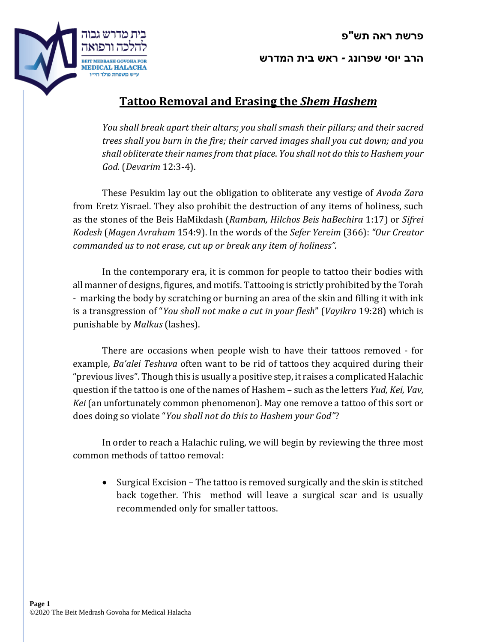

**הרב יוסי שפרונג - ראש בית המדרש**

## **Tattoo Removal and Erasing the** *Shem Hashem*

*You shall break apart their altars; you shall smash their pillars; and their sacred trees shall you burn in the fire; their carved images shall you cut down; and you shall obliterate their names from that place*. *You shall not do this to Hashem your God.* (*Devarim* 12:3-4).

These Pesukim lay out the obligation to obliterate any vestige of *Avoda Zara* from Eretz Yisrael. They also prohibit the destruction of any items of holiness, such as the stones of the Beis HaMikdash (*Rambam, Hilchos Beis haBechira* 1:17) or *Sifrei Kodesh* (*Magen Avraham* 154:9). In the words of the *Sefer Yereim* (366): *"Our Creator commanded us to not erase, cut up or break any item of holiness".*

In the contemporary era, it is common for people to tattoo their bodies with all manner of designs, figures, and motifs. Tattooing is strictly prohibited by the Torah - marking the body by scratching or burning an area of the skin and filling it with ink is a transgression of "*You shall not make a cut in your flesh*" (*Vayikra* 19:28) which is punishable by *Malkus* (lashes).

There are occasions when people wish to have their tattoos removed - for example, *Ba'alei Teshuva* often want to be rid of tattoos they acquired during their "previous lives". Though this is usually a positive step, it raises a complicated Halachic question if the tattoo is one of the names of Hashem – such as the letters *Yud, Kei, Vav, Kei* (an unfortunately common phenomenon). May one remove a tattoo of this sort or does doing so violate "*You shall not do this to Hashem your God"*?

In order to reach a Halachic ruling, we will begin by reviewing the three most common methods of tattoo removal:

 Surgical Excision – The tattoo is removed surgically and the skin is stitched back together. This method will leave a surgical scar and is usually recommended only for smaller tattoos.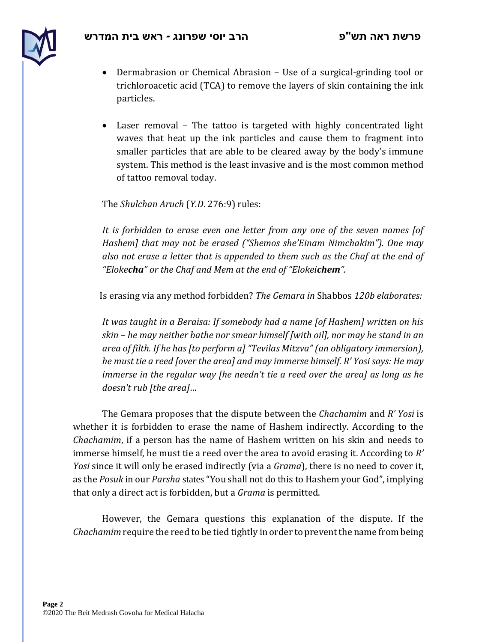

- Dermabrasion or Chemical Abrasion Use of a surgical-grinding tool or trichloroacetic acid (TCA) to remove the layers of skin containing the ink particles.
- Laser removal The tattoo is targeted with highly concentrated light waves that heat up the ink particles and cause them to fragment into smaller particles that are able to be cleared away by the body's immune system. This method is the least invasive and is the most common method of tattoo removal today.

The *Shulchan Aruch* (*Y.D*. 276:9) rules:

*It is forbidden to erase even one letter from any one of the seven names [of Hashem] that may not be erased ("Shemos she'Einam Nimchakim"). One may also not erase a letter that is appended to them such as the Chaf at the end of "Elokecha" or the Chaf and Mem at the end of "Elokeichem".* 

Is erasing via any method forbidden? *The Gemara in* Shabbos *120b elaborates:*

*It was taught in a Beraisa: If somebody had a name [of Hashem] written on his skin – he may neither bathe nor smear himself [with oil], nor may he stand in an area of filth. If he has [to perform a] "Tevilas Mitzva" (an obligatory immersion), he must tie a reed [over the area] and may immerse himself. R' Yosi says: He may immerse in the regular way [he needn't tie a reed over the area] as long as he doesn't rub [the area]…* 

The Gemara proposes that the dispute between the *Chachamim* and *R' Yosi* is whether it is forbidden to erase the name of Hashem indirectly. According to the *Chachamim*, if a person has the name of Hashem written on his skin and needs to immerse himself, he must tie a reed over the area to avoid erasing it. According to *R' Yosi* since it will only be erased indirectly (via a *Grama*), there is no need to cover it, as the *Posuk* in our *Parsha* states "You shall not do this to Hashem your God", implying that only a direct act is forbidden, but a *Grama* is permitted.

However, the Gemara questions this explanation of the dispute. If the *Chachamim* require the reed to be tied tightly in order to prevent the name from being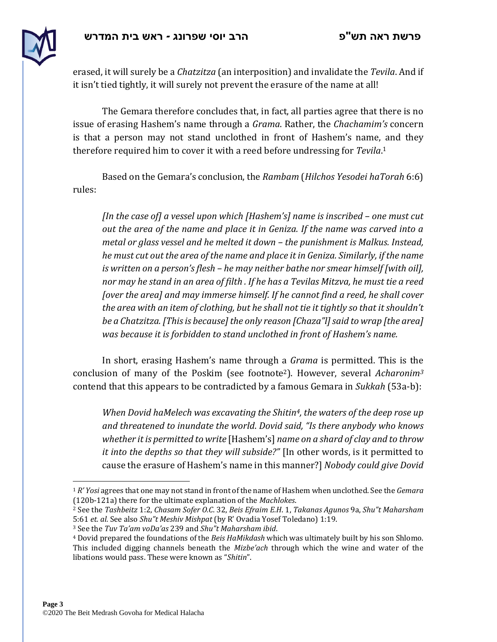

erased, it will surely be a *Chatzitza* (an interposition) and invalidate the *Tevila*. And if it isn't tied tightly, it will surely not prevent the erasure of the name at all!

The Gemara therefore concludes that, in fact, all parties agree that there is no issue of erasing Hashem's name through a *Grama*. Rather, the *Chachamim's* concern is that a person may not stand unclothed in front of Hashem's name, and they therefore required him to cover it with a reed before undressing for *Tevila*. 1

Based on the Gemara's conclusion, the *Rambam* (*Hilchos Yesodei haTorah* 6:6) rules:

*[In the case of] a vessel upon which [Hashem's] name is inscribed – one must cut out the area of the name and place it in Geniza. If the name was carved into a metal or glass vessel and he melted it down – the punishment is Malkus. Instead, he must cut out the area of the name and place it in Geniza. Similarly, if the name is written on a person's flesh – he may neither bathe nor smear himself [with oil], nor may he stand in an area of filth . If he has a Tevilas Mitzva, he must tie a reed [over the area] and may immerse himself. If he cannot find a reed, he shall cover the area with an item of clothing, but he shall not tie it tightly so that it shouldn't be a Chatzitza. [This is because] the only reason [Chaza"l]said to wrap [the area] was because it is forbidden to stand unclothed in front of Hashem's name.*

In short, erasing Hashem's name through a *Grama* is permitted. This is the conclusion of many of the Poskim (see footnote2). However, several *Acharonim<sup>3</sup>* contend that this appears to be contradicted by a famous Gemara in *Sukkah* (53a-b):

*When Dovid haMelech was excavating the Shitin4, the waters of the deep rose up and threatened to inundate the world*. *Dovid said, "Is there anybody who knows whether it is permitted to write* [Hashem's] *name on a shard of clay and to throw it into the depths so that they will subside?"* [In other words, is it permitted to cause the erasure of Hashem's name in this manner?] *Nobody could give Dovid*

 $\overline{a}$ 

<sup>1</sup> *R' Yosi* agrees that one may not stand in front of the name of Hashem when unclothed. See the *Gemara*  (120b-121a) there for the ultimate explanation of the *Machlokes*.

<sup>2</sup> See the *Tashbeitz* 1:2, *Chasam Sofer O.C*. 32, *Beis Efraim E.H*. 1, *Takanas Agunos* 9a, *Shu"t Maharsham* 5:61 *et. al.* See also *Shu"t Meshiv Mishpat* (by R' Ovadia Yosef Toledano) 1:19.

<sup>3</sup> See the *Tuv Ta'am voDa'as* 239 and *Shu"t Maharsham ibid*.

<sup>4</sup> Dovid prepared the foundations of the *Beis HaMikdash* which was ultimately built by his son Shlomo. This included digging channels beneath the *Mizbe'ach* through which the wine and water of the libations would pass. These were known as "*Shitin*".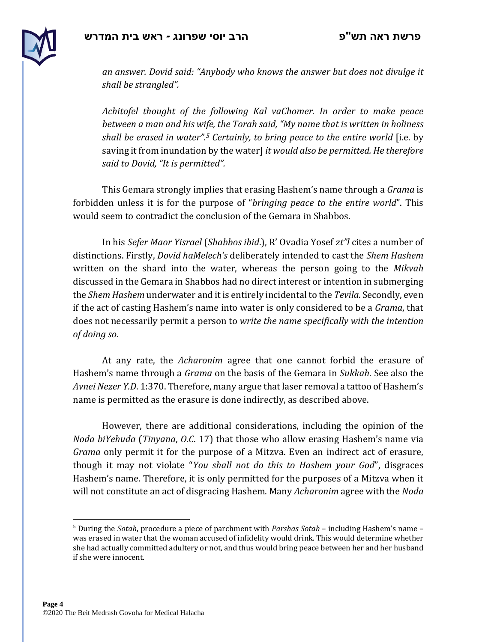

*an answer. Dovid said: "Anybody who knows the answer but does not divulge it shall be strangled".*

*Achitofel thought of the following Kal vaChomer. In order to make peace between a man and his wife, the Torah said, "My name that is written in holiness shall be erased in water".<sup>5</sup> Certainly, to bring peace to the entire world* [i.e. by saving it from inundation by the water] *it would also be permitted. He therefore said to Dovid, "It is permitted".*

This Gemara strongly implies that erasing Hashem's name through a *Grama* is forbidden unless it is for the purpose of "*bringing peace to the entire world*". This would seem to contradict the conclusion of the Gemara in Shabbos.

In his *Sefer Maor Yisrael* (*Shabbos ibid*.), R' Ovadia Yosef *zt"l* cites a number of distinctions. Firstly, *Dovid haMelech's* deliberately intended to cast the *Shem Hashem*  written on the shard into the water, whereas the person going to the *Mikvah* discussed in the Gemara in Shabbos had no direct interest or intention in submerging the *Shem Hashem* underwater and it is entirely incidental to the *Tevila*. Secondly, even if the act of casting Hashem's name into water is only considered to be a *Grama*, that does not necessarily permit a person to *write the name specifically with the intention of doing so*.

At any rate, the *Acharonim* agree that one cannot forbid the erasure of Hashem's name through a *Grama* on the basis of the Gemara in *Sukkah*. See also the *Avnei Nezer Y.D*. 1:370. Therefore, many argue that laser removal a tattoo of Hashem's name is permitted as the erasure is done indirectly, as described above.

However, there are additional considerations, including the opinion of the *Noda biYehuda* (*Tinyana*, *O.C*. 17) that those who allow erasing Hashem's name via *Grama* only permit it for the purpose of a Mitzva. Even an indirect act of erasure, though it may not violate "*You shall not do this to Hashem your God*", disgraces Hashem's name. Therefore, it is only permitted for the purposes of a Mitzva when it will not constitute an act of disgracing Hashem. Many *Acharonim* agree with the *Noda* 

 $\overline{a}$ 

<sup>5</sup> During the *Sotah*, procedure a piece of parchment with *Parshas Sotah* – including Hashem's name – was erased in water that the woman accused of infidelity would drink. This would determine whether she had actually committed adultery or not, and thus would bring peace between her and her husband if she were innocent.